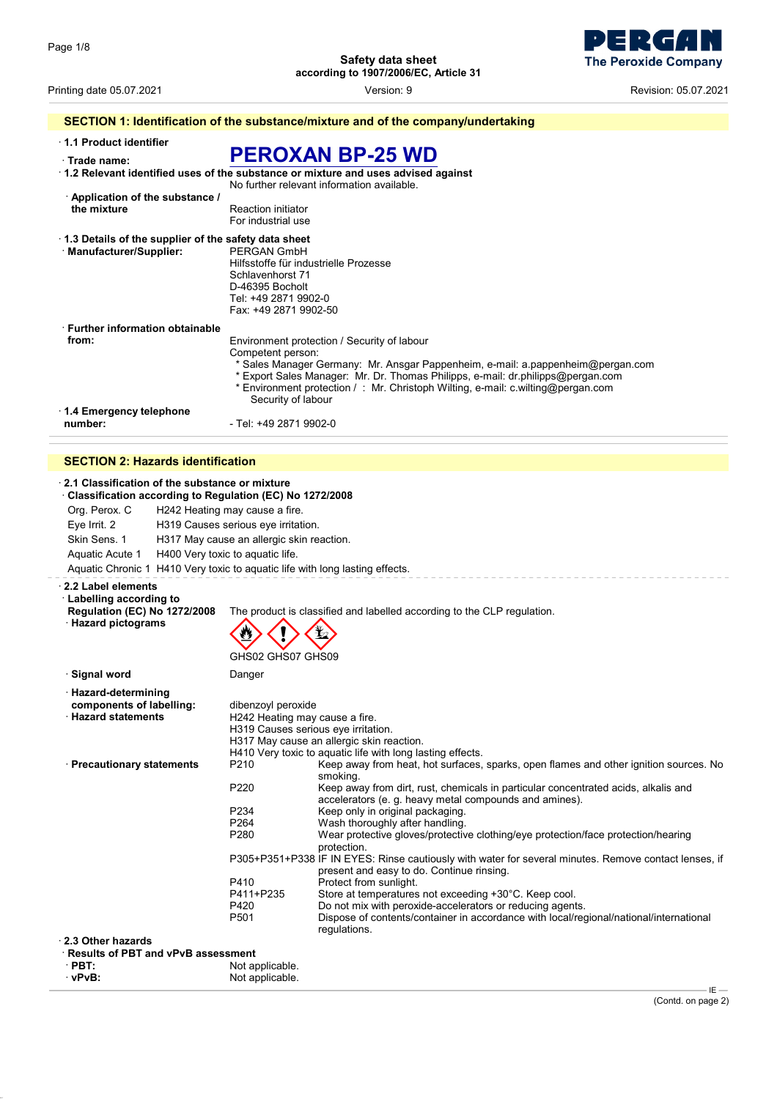- 1  $\blacksquare$ Ы **The Peroxide Company** 

Printing date 05.07.2021 Version: 9 Revision: 05.07.2021

| 1.1 Product identifier                               |                                                                                           |
|------------------------------------------------------|-------------------------------------------------------------------------------------------|
| Trade name:                                          | <b>PEROXAN BP-25 WD</b>                                                                   |
|                                                      | $\cdot$ 1.2 Relevant identified uses of the substance or mixture and uses advised against |
|                                                      | No further relevant information available.                                                |
| Application of the substance /                       |                                                                                           |
| the mixture                                          | <b>Reaction initiator</b>                                                                 |
|                                                      | For industrial use                                                                        |
| 1.3 Details of the supplier of the safety data sheet |                                                                                           |
| · Manufacturer/Supplier:                             | PERGAN GmbH                                                                               |
|                                                      | Hilfsstoffe für industrielle Prozesse                                                     |
|                                                      | Schlavenhorst 71                                                                          |
|                                                      | D-46395 Bocholt                                                                           |
|                                                      | Tel: +49 2871 9902-0                                                                      |
|                                                      | Fax: +49 2871 9902-50                                                                     |
| <b>Eurther information obtainable</b>                |                                                                                           |
| from:                                                | Environment protection / Security of labour                                               |
|                                                      | Competent person:                                                                         |
|                                                      | * Sales Manager Germany: Mr. Ansgar Pappenheim, e-mail: a pappenheim@pergan.com           |
|                                                      | * Export Sales Manager: Mr. Dr. Thomas Philipps, e-mail: dr.philipps@pergan.com           |
|                                                      | * Environment protection /: Mr. Christoph Wilting, e-mail: c.wilting@pergan.com           |
|                                                      | Security of labour                                                                        |
| 1.4 Emergency telephone                              |                                                                                           |
| number:                                              | - Tel: +49 2871 9902-0                                                                    |

### **SECTION 2: Hazards identification**

|                                                 | 2.1 Classification of the substance or mixture | Classification according to Regulation (EC) No 1272/2008 |                                                                                                         |
|-------------------------------------------------|------------------------------------------------|----------------------------------------------------------|---------------------------------------------------------------------------------------------------------|
| Org. Perox. C<br>H242 Heating may cause a fire. |                                                |                                                          |                                                                                                         |
| Eye Irrit. 2                                    |                                                | H319 Causes serious eye irritation.                      |                                                                                                         |
| Skin Sens. 1                                    |                                                | H317 May cause an allergic skin reaction.                |                                                                                                         |
| Aquatic Acute 1                                 |                                                | H400 Very toxic to aquatic life.                         |                                                                                                         |
|                                                 |                                                |                                                          | Aquatic Chronic 1 H410 Very toxic to aquatic life with long lasting effects.                            |
|                                                 |                                                |                                                          |                                                                                                         |
| 2.2 Label elements                              |                                                |                                                          |                                                                                                         |
| <b>Labelling according to</b>                   | <b>Regulation (EC) No 1272/2008</b>            |                                                          | The product is classified and labelled according to the CLP regulation.                                 |
| · Hazard pictograms                             |                                                |                                                          |                                                                                                         |
|                                                 |                                                |                                                          |                                                                                                         |
|                                                 |                                                |                                                          |                                                                                                         |
|                                                 |                                                | GHS02 GHS07 GHS09                                        |                                                                                                         |
| ∙ Signal word                                   |                                                | Danger                                                   |                                                                                                         |
| · Hazard-determining                            |                                                |                                                          |                                                                                                         |
| components of labelling:                        |                                                | dibenzoyl peroxide                                       |                                                                                                         |
| <b>Hazard statements</b>                        |                                                | H242 Heating may cause a fire.                           |                                                                                                         |
|                                                 |                                                | H319 Causes serious eye irritation.                      |                                                                                                         |
|                                                 |                                                |                                                          | H317 May cause an allergic skin reaction.<br>H410 Very toxic to aquatic life with long lasting effects. |
| · Precautionary statements                      |                                                | P210                                                     | Keep away from heat, hot surfaces, sparks, open flames and other ignition sources. No                   |
|                                                 |                                                |                                                          | smoking.                                                                                                |
|                                                 |                                                | P220                                                     | Keep away from dirt, rust, chemicals in particular concentrated acids, alkalis and                      |
|                                                 |                                                |                                                          | accelerators (e. g. heavy metal compounds and amines).                                                  |
|                                                 |                                                | P234                                                     | Keep only in original packaging.                                                                        |
|                                                 |                                                | P264<br>P280                                             | Wash thoroughly after handling.                                                                         |
|                                                 |                                                |                                                          | Wear protective gloves/protective clothing/eye protection/face protection/hearing<br>protection.        |
|                                                 |                                                |                                                          | P305+P351+P338 IF IN EYES: Rinse cautiously with water for several minutes. Remove contact lenses, if   |
|                                                 |                                                |                                                          | present and easy to do. Continue rinsing.                                                               |
|                                                 |                                                | P410                                                     | Protect from sunlight.                                                                                  |
|                                                 |                                                | P411+P235                                                | Store at temperatures not exceeding +30°C. Keep cool.                                                   |
|                                                 |                                                | P420                                                     | Do not mix with peroxide-accelerators or reducing agents.                                               |
|                                                 |                                                | P501                                                     | Dispose of contents/container in accordance with local/regional/national/international<br>regulations.  |
| 2.3 Other hazards                               |                                                |                                                          |                                                                                                         |
|                                                 | Results of PBT and vPvB assessment             |                                                          |                                                                                                         |
| $\cdot$ PBT:                                    |                                                | Not applicable.                                          |                                                                                                         |
|                                                 |                                                |                                                          |                                                                                                         |

| PDI.    | inot applicable. |
|---------|------------------|
| · vPvB: | Not applicable.  |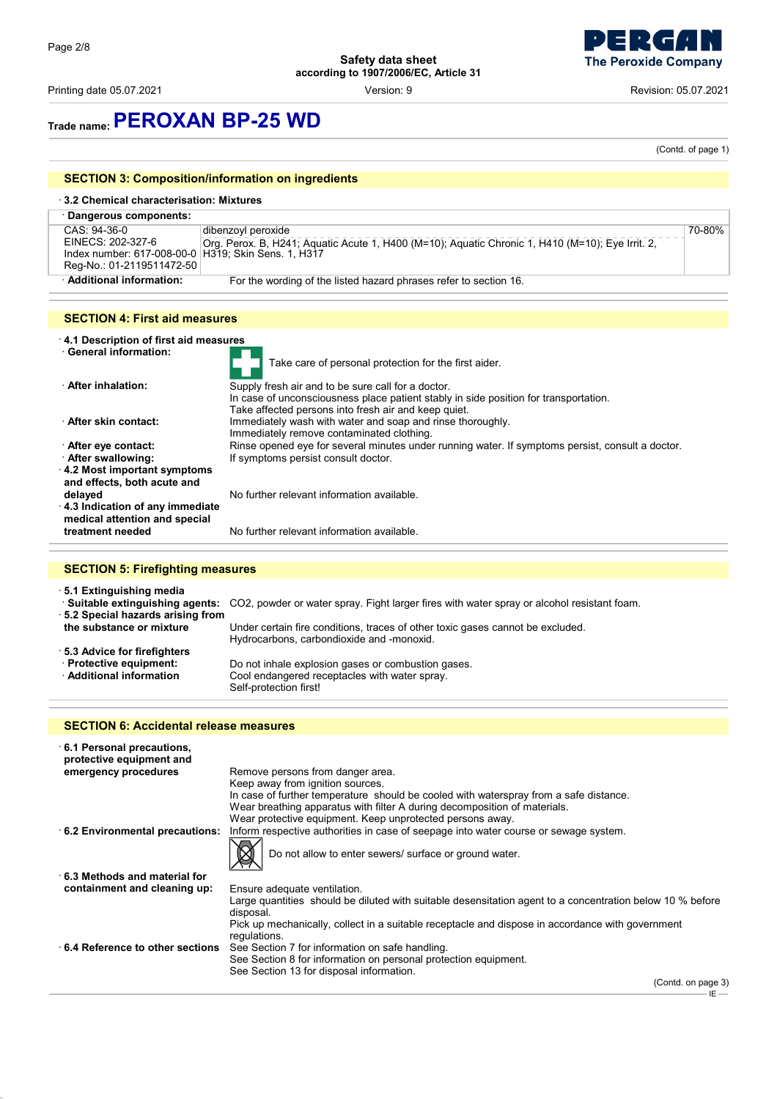Printing date 05.07.2021 Version: 9 Revision: 05.07.2021



### **Trade name:PEROXAN BP-25 WD**

(Contd. of page 1)

### **SECTION 3: Composition/information on ingredients**

#### · **3.2 Chemical characterisation: Mixtures** · **Dangerous components:** CAS: 94-36-0 EINECS: 202-327-6 Index number: 617-008-00-0 Reg-No.: 01-2119511472-50 dibenzoyl peroxide Org. Perox. B, H241; Aquatic Acute 1, H400 (M=10); Aquatic Chronic 1, H410 (M=10); Eye Irrit. 2, H319; Skin Sens. 1, H317 70-80% · **Additional information:** For the wording of the listed hazard phrases refer to section 16.

### **SECTION 4: First aid measures**

- · **4.1 Description of first aid measures**
- **EVIDENTIFY CONTRACT INFORMATION:** Take care of personal protection for the first aider.<br> **After inhalation:** Supply fresh air and to be sure call for a doctor Supply fresh air and to be sure call for a doctor. In case of unconsciousness place patient stably in side position for transportation. Take affected persons into fresh air and keep quiet. · **After skin contact:** Immediately wash with water and soap and rinse thoroughly. Immediately remove contaminated clothing. · **After eye contact:** Rinse opened eye for several minutes under running water. If symptoms persist, consult a doctor. · **After swallowing:** If symptoms persist consult doctor. · **4.2 Most important symptoms and effects, both acute and** No further relevant information available. · **4.3 Indication of any immediate medical attention and special**

#### **SECTION 5: Firefighting measures**

**treatment needed** No further relevant information available.

· **5.1 Extinguishing media**

· **Suitable extinguishing agents:** CO2, powder or water spray. Fight larger fires with water spray or alcohol resistant foam. · **5.2 Special hazards arising from the substance or mixture** Under certain fire conditions, traces of other toxic gases cannot be excluded. Hydrocarbons, carbondioxide and -monoxid. · **5.3 Advice for firefighters** · **Protective equipment:** Do not inhale explosion gases or combustion gases. Cool endangered receptacles with water spray. Self-protection first!

#### **SECTION 6: Accidental release measures**

| 6.1 Personal precautions,<br>protective equipment and |                                                                                                                                                                                                                                                                                                                          |
|-------------------------------------------------------|--------------------------------------------------------------------------------------------------------------------------------------------------------------------------------------------------------------------------------------------------------------------------------------------------------------------------|
| emergency procedures                                  | Remove persons from danger area.                                                                                                                                                                                                                                                                                         |
|                                                       | Keep away from ignition sources.                                                                                                                                                                                                                                                                                         |
|                                                       | In case of further temperature should be cooled with waterspray from a safe distance.                                                                                                                                                                                                                                    |
|                                                       | Wear breathing apparatus with filter A during decomposition of materials.                                                                                                                                                                                                                                                |
|                                                       | Wear protective equipment. Keep unprotected persons away.                                                                                                                                                                                                                                                                |
| 6.2 Environmental precautions:                        | Inform respective authorities in case of seepage into water course or sewage system.                                                                                                                                                                                                                                     |
|                                                       | Do not allow to enter sewers/ surface or ground water.                                                                                                                                                                                                                                                                   |
| $\cdot$ 6.3 Methods and material for                  |                                                                                                                                                                                                                                                                                                                          |
| containment and cleaning up:                          | Ensure adequate ventilation.                                                                                                                                                                                                                                                                                             |
|                                                       | Large quantities should be diluted with suitable desensitation agent to a concentration below 10 % before<br>disposal.                                                                                                                                                                                                   |
|                                                       | Pick up mechanically, collect in a suitable receptacle and dispose in accordance with government<br>regulations.                                                                                                                                                                                                         |
| 6.4 Reference to other sections                       | See Section 7 for information on safe handling.                                                                                                                                                                                                                                                                          |
|                                                       | See Section 8 for information on personal protection equipment.                                                                                                                                                                                                                                                          |
|                                                       | See Section 13 for disposal information.                                                                                                                                                                                                                                                                                 |
|                                                       | $\sqrt{2}$ $\frac{1}{2}$ $\frac{1}{2}$ $\frac{1}{2}$ $\frac{1}{2}$ $\frac{1}{2}$ $\frac{1}{2}$ $\frac{1}{2}$ $\frac{1}{2}$ $\frac{1}{2}$ $\frac{1}{2}$ $\frac{1}{2}$ $\frac{1}{2}$ $\frac{1}{2}$ $\frac{1}{2}$ $\frac{1}{2}$ $\frac{1}{2}$ $\frac{1}{2}$ $\frac{1}{2}$ $\frac{1}{2}$ $\frac{1}{2}$ $\frac{1}{2}$ $\frac$ |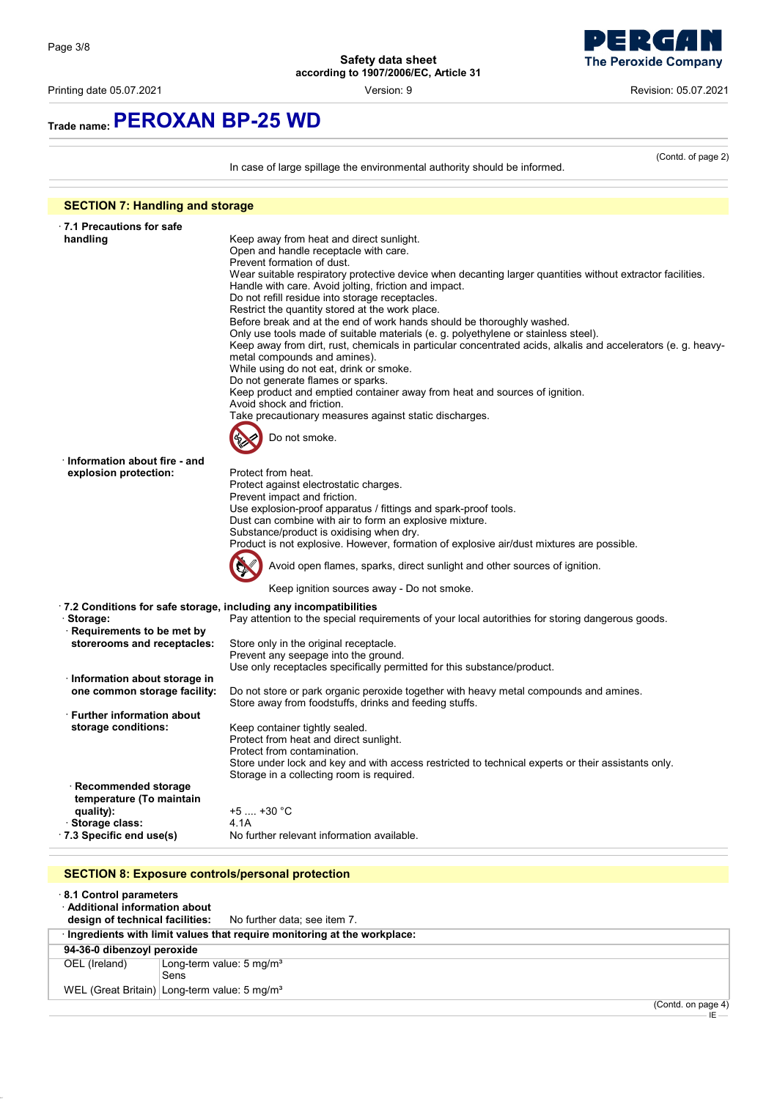Printing date 05.07.2021 **Version: 9** Version: 9 Revision: 05.07.2021

**The Peroxide Company** 

(Contd. of page 2)

### **Trade name:PEROXAN BP-25 WD**

In case of large spillage the environmental authority should be informed. **SECTION 7: Handling and storage** · **7.1 Precautions for safe** Keep away from heat and direct sunlight. Open and handle receptacle with care. Prevent formation of dust. Wear suitable respiratory protective device when decanting larger quantities without extractor facilities. Handle with care. Avoid jolting, friction and impact. Do not refill residue into storage receptacles. Restrict the quantity stored at the work place. Before break and at the end of work hands should be thoroughly washed. Only use tools made of suitable materials (e. g. polyethylene or stainless steel).

Keep away from dirt, rust, chemicals in particular concentrated acids, alkalis and accelerators (e. g. heavymetal compounds and amines).

While using do not eat, drink or smoke. Do not generate flames or sparks.

Keep product and emptied container away from heat and sources of ignition.

Avoid shock and friction.

Take precautionary measures against static discharges.



| Information about fire - and                                      |                                                                                                    |
|-------------------------------------------------------------------|----------------------------------------------------------------------------------------------------|
| explosion protection:                                             | Protect from heat.                                                                                 |
|                                                                   | Protect against electrostatic charges.                                                             |
|                                                                   | Prevent impact and friction.                                                                       |
|                                                                   | Use explosion-proof apparatus / fittings and spark-proof tools.                                    |
|                                                                   | Dust can combine with air to form an explosive mixture.                                            |
|                                                                   | Substance/product is oxidising when dry.                                                           |
|                                                                   | Product is not explosive. However, formation of explosive air/dust mixtures are possible.          |
|                                                                   | Avoid open flames, sparks, direct sunlight and other sources of ignition.                          |
|                                                                   | Keep ignition sources away - Do not smoke.                                                         |
| .7.2 Conditions for safe storage, including any incompatibilities |                                                                                                    |
| Storage:                                                          | Pay attention to the special requirements of your local autorithies for storing dangerous goods.   |
| Requirements to be met by                                         |                                                                                                    |
| storerooms and receptacles:                                       | Store only in the original receptacle.                                                             |
|                                                                   | Prevent any seepage into the ground.                                                               |
|                                                                   | Use only receptacles specifically permitted for this substance/product.                            |
| Information about storage in                                      |                                                                                                    |
| one common storage facility:                                      | Do not store or park organic peroxide together with heavy metal compounds and amines.              |
|                                                                   | Store away from foodstuffs, drinks and feeding stuffs.                                             |
| <b>Eurther information about</b>                                  |                                                                                                    |
| storage conditions:                                               | Keep container tightly sealed.                                                                     |
|                                                                   | Protect from heat and direct sunlight.                                                             |
|                                                                   | Protect from contamination.                                                                        |
|                                                                   | Store under lock and key and with access restricted to technical experts or their assistants only. |
|                                                                   | Storage in a collecting room is required.                                                          |
| · Recommended storage                                             |                                                                                                    |
| temperature (To maintain                                          |                                                                                                    |
| quality):                                                         | $+5$ $+30$ °C                                                                                      |
| · Storage class:                                                  | 4.1A                                                                                               |
| 7.3 Specific end use(s)                                           | No further relevant information available.                                                         |

### **SECTION 8: Exposure controls/personal protection**

| 8.1 Control parameters<br>Additional information about | <b>design of technical facilities:</b> No further data; see item 7.     |        |  |
|--------------------------------------------------------|-------------------------------------------------------------------------|--------|--|
|                                                        | Ingredients with limit values that require monitoring at the workplace: |        |  |
| 94-36-0 dibenzoyl peroxide                             |                                                                         |        |  |
| OEL (Ireland)                                          | Long-term value: $5 \text{ mg/m}^3$                                     |        |  |
|                                                        | Sens                                                                    |        |  |
|                                                        | WEL (Great Britain) Long-term value: 5 mg/m <sup>3</sup>                |        |  |
|                                                        |                                                                         | $\sim$ |  |

(Contd. on page 4)

IE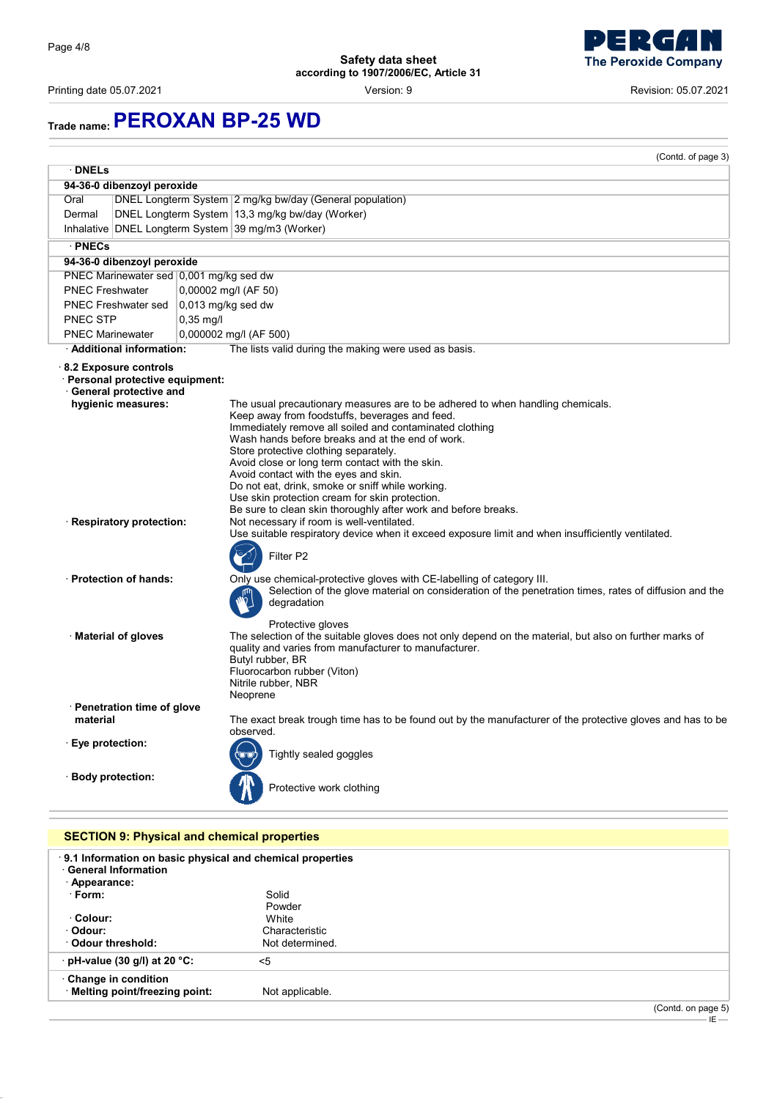Printing date 05.07.2021 Version: 9 Revision: 05.07.2021

## **Trade name:PEROXAN BP-25 WD**

|                            |                                                           |                      | (Contd. of page 3)                                                                                                                                                                   |  |
|----------------------------|-----------------------------------------------------------|----------------------|--------------------------------------------------------------------------------------------------------------------------------------------------------------------------------------|--|
| · DNELs                    |                                                           |                      |                                                                                                                                                                                      |  |
| 94-36-0 dibenzoyl peroxide |                                                           |                      |                                                                                                                                                                                      |  |
| Oral                       |                                                           |                      | DNEL Longterm System 2 mg/kg bw/day (General population)                                                                                                                             |  |
| Dermal                     |                                                           |                      | DNEL Longterm System 13,3 mg/kg bw/day (Worker)                                                                                                                                      |  |
|                            |                                                           |                      | Inhalative DNEL Longterm System 39 mg/m3 (Worker)                                                                                                                                    |  |
| <b>PNECs</b>               |                                                           |                      |                                                                                                                                                                                      |  |
|                            | 94-36-0 dibenzoyl peroxide                                |                      |                                                                                                                                                                                      |  |
|                            | PNEC Marinewater sed 0,001 mg/kg sed dw                   |                      |                                                                                                                                                                                      |  |
| <b>PNEC Freshwater</b>     |                                                           | 0,00002 mg/l (AF 50) |                                                                                                                                                                                      |  |
|                            | <b>PNEC Freshwater sed</b>                                | 0,013 mg/kg sed dw   |                                                                                                                                                                                      |  |
| PNEC STP                   |                                                           | $0.35$ mg/l          |                                                                                                                                                                                      |  |
| <b>PNEC Marinewater</b>    |                                                           |                      | 0,000002 mg/l (AF 500)                                                                                                                                                               |  |
|                            | · Additional information:                                 |                      | The lists valid during the making were used as basis.                                                                                                                                |  |
|                            | 8.2 Exposure controls<br>· Personal protective equipment: |                      |                                                                                                                                                                                      |  |
|                            | · General protective and                                  |                      |                                                                                                                                                                                      |  |
|                            | hygienic measures:                                        |                      | The usual precautionary measures are to be adhered to when handling chemicals.<br>Keep away from foodstuffs, beverages and feed.                                                     |  |
|                            |                                                           |                      | Immediately remove all soiled and contaminated clothing                                                                                                                              |  |
|                            |                                                           |                      | Wash hands before breaks and at the end of work.                                                                                                                                     |  |
|                            |                                                           |                      | Store protective clothing separately.                                                                                                                                                |  |
|                            |                                                           |                      | Avoid close or long term contact with the skin.<br>Avoid contact with the eyes and skin.                                                                                             |  |
|                            |                                                           |                      | Do not eat, drink, smoke or sniff while working.                                                                                                                                     |  |
|                            |                                                           |                      | Use skin protection cream for skin protection.<br>Be sure to clean skin thoroughly after work and before breaks.                                                                     |  |
|                            |                                                           |                      |                                                                                                                                                                                      |  |
| · Respiratory protection:  |                                                           |                      | Not necessary if room is well-ventilated.<br>Use suitable respiratory device when it exceed exposure limit and when insufficiently ventilated.                                       |  |
|                            |                                                           |                      | Filter P2                                                                                                                                                                            |  |
|                            | · Protection of hands:                                    |                      | Only use chemical-protective gloves with CE-labelling of category III.                                                                                                               |  |
|                            |                                                           |                      | Selection of the glove material on consideration of the penetration times, rates of diffusion and the<br>degradation                                                                 |  |
|                            |                                                           |                      | Protective gloves                                                                                                                                                                    |  |
|                            | · Material of gloves                                      |                      | The selection of the suitable gloves does not only depend on the material, but also on further marks of<br>quality and varies from manufacturer to manufacturer.<br>Butyl rubber, BR |  |
|                            |                                                           |                      | Fluorocarbon rubber (Viton)                                                                                                                                                          |  |
|                            |                                                           |                      | Nitrile rubber, NBR<br>Neoprene                                                                                                                                                      |  |
|                            | · Penetration time of glove                               |                      |                                                                                                                                                                                      |  |
| material                   |                                                           |                      | The exact break trough time has to be found out by the manufacturer of the protective gloves and has to be<br>observed.                                                              |  |
| Eye protection:            |                                                           |                      |                                                                                                                                                                                      |  |
|                            |                                                           |                      | Tightly sealed goggles                                                                                                                                                               |  |
|                            | · Body protection:                                        |                      | Protective work clothing                                                                                                                                                             |  |
|                            |                                                           |                      |                                                                                                                                                                                      |  |
|                            | <b>SECTION 9: Physical and chemical properties</b>        |                      |                                                                                                                                                                                      |  |
|                            |                                                           |                      | 9.1 Information on basic physical and chemical properties                                                                                                                            |  |
|                            | <b>General Information</b>                                |                      |                                                                                                                                                                                      |  |
| Appearance:                |                                                           |                      |                                                                                                                                                                                      |  |
| $\cdot$ Form:              |                                                           |                      | Solid                                                                                                                                                                                |  |
|                            |                                                           |                      | Powder                                                                                                                                                                               |  |
| · Colour:                  |                                                           |                      | White                                                                                                                                                                                |  |

(Contd. on page 5) IE

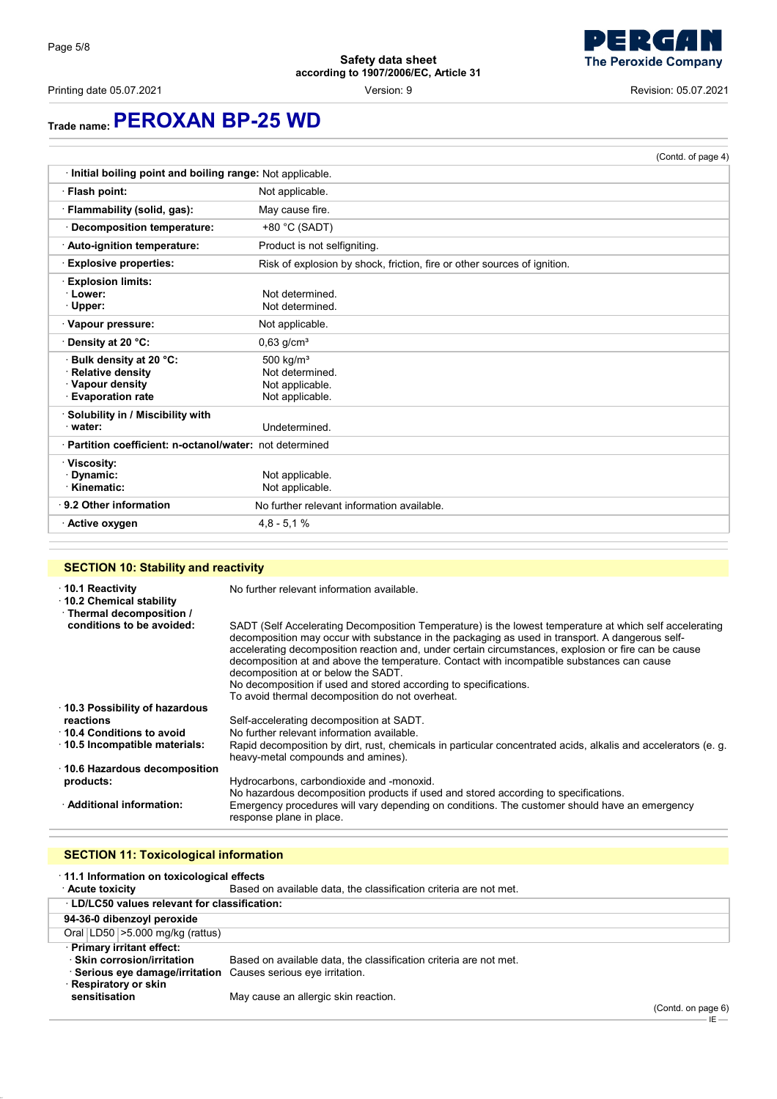



IE

## **Trade name:PEROXAN BP-25 WD**

|                                                                                             |                                                                          | (Contd. of page 4) |
|---------------------------------------------------------------------------------------------|--------------------------------------------------------------------------|--------------------|
| · Initial boiling point and boiling range: Not applicable.                                  |                                                                          |                    |
| · Flash point:                                                                              | Not applicable.                                                          |                    |
| · Flammability (solid, gas):                                                                | May cause fire.                                                          |                    |
| · Decomposition temperature:                                                                | +80 °C (SADT)                                                            |                    |
| Auto-ignition temperature:                                                                  | Product is not selfigniting.                                             |                    |
| <b>Explosive properties:</b>                                                                | Risk of explosion by shock, friction, fire or other sources of ignition. |                    |
| <b>Explosion limits:</b><br>$\cdot$ Lower:<br>$\cdot$ Upper:                                | Not determined.<br>Not determined.                                       |                    |
| Vapour pressure:                                                                            | Not applicable.                                                          |                    |
| <b>Oensity at 20 °C:</b>                                                                    | $0,63$ g/cm <sup>3</sup>                                                 |                    |
| Bulk density at 20 °C:<br>· Relative density<br>· Vapour density<br><b>Evaporation rate</b> | 500 $kg/m3$<br>Not determined.<br>Not applicable.<br>Not applicable.     |                    |
| Solubility in / Miscibility with<br>water:                                                  | Undetermined.                                                            |                    |
| · Partition coefficient: n-octanol/water: not determined                                    |                                                                          |                    |
| · Viscosity:<br>· Dynamic:<br>· Kinematic:                                                  | Not applicable.<br>Not applicable.                                       |                    |
| $\cdot$ 9.2 Other information                                                               | No further relevant information available.                               |                    |
| · Active oxygen                                                                             | $4,8 - 5,1%$                                                             |                    |

### **SECTION 10: Stability and reactivity**

| 10.1 Reactivity<br>10.2 Chemical stability<br>· Thermal decomposition / | No further relevant information available.                                                                                                                                                                                                                                                                                                                                                                                                                                                                                                                                     |
|-------------------------------------------------------------------------|--------------------------------------------------------------------------------------------------------------------------------------------------------------------------------------------------------------------------------------------------------------------------------------------------------------------------------------------------------------------------------------------------------------------------------------------------------------------------------------------------------------------------------------------------------------------------------|
| conditions to be avoided:                                               | SADT (Self Accelerating Decomposition Temperature) is the lowest temperature at which self accelerating<br>decomposition may occur with substance in the packaging as used in transport. A dangerous self-<br>accelerating decomposition reaction and, under certain circumstances, explosion or fire can be cause<br>decomposition at and above the temperature. Contact with incompatible substances can cause<br>decomposition at or below the SADT.<br>No decomposition if used and stored according to specifications.<br>To avoid thermal decomposition do not overheat. |
| 10.3 Possibility of hazardous                                           |                                                                                                                                                                                                                                                                                                                                                                                                                                                                                                                                                                                |
| reactions                                                               | Self-accelerating decomposition at SADT.                                                                                                                                                                                                                                                                                                                                                                                                                                                                                                                                       |
| 10.4 Conditions to avoid                                                | No further relevant information available.                                                                                                                                                                                                                                                                                                                                                                                                                                                                                                                                     |
| $\cdot$ 10.5 Incompatible materials:                                    | Rapid decomposition by dirt, rust, chemicals in particular concentrated acids, alkalis and accelerators (e. q.<br>heavy-metal compounds and amines).                                                                                                                                                                                                                                                                                                                                                                                                                           |
| 10.6 Hazardous decomposition                                            |                                                                                                                                                                                                                                                                                                                                                                                                                                                                                                                                                                                |
| products:                                                               | Hydrocarbons, carbondioxide and -monoxid.                                                                                                                                                                                                                                                                                                                                                                                                                                                                                                                                      |
| · Additional information:                                               | No hazardous decomposition products if used and stored according to specifications.<br>Emergency procedures will vary depending on conditions. The customer should have an emergency<br>response plane in place.                                                                                                                                                                                                                                                                                                                                                               |

### **SECTION 11: Toxicological information**

| 11.1 Information on toxicological effects                      |                                                                   |                    |
|----------------------------------------------------------------|-------------------------------------------------------------------|--------------------|
| <b>Acute toxicity</b>                                          | Based on available data, the classification criteria are not met. |                    |
| <b>LD/LC50 values relevant for classification:</b>             |                                                                   |                    |
| 94-36-0 dibenzoyl peroxide                                     |                                                                   |                    |
| Oral $ LD50  > 5.000$ mg/kg (rattus)                           |                                                                   |                    |
| · Primary irritant effect:                                     |                                                                   |                    |
| · Skin corrosion/irritation                                    | Based on available data, the classification criteria are not met. |                    |
| · Serious eye damage/irritation Causes serious eye irritation. |                                                                   |                    |
| · Respiratory or skin                                          |                                                                   |                    |
| sensitisation                                                  | May cause an allergic skin reaction.                              |                    |
|                                                                |                                                                   | (Contd. on page 6) |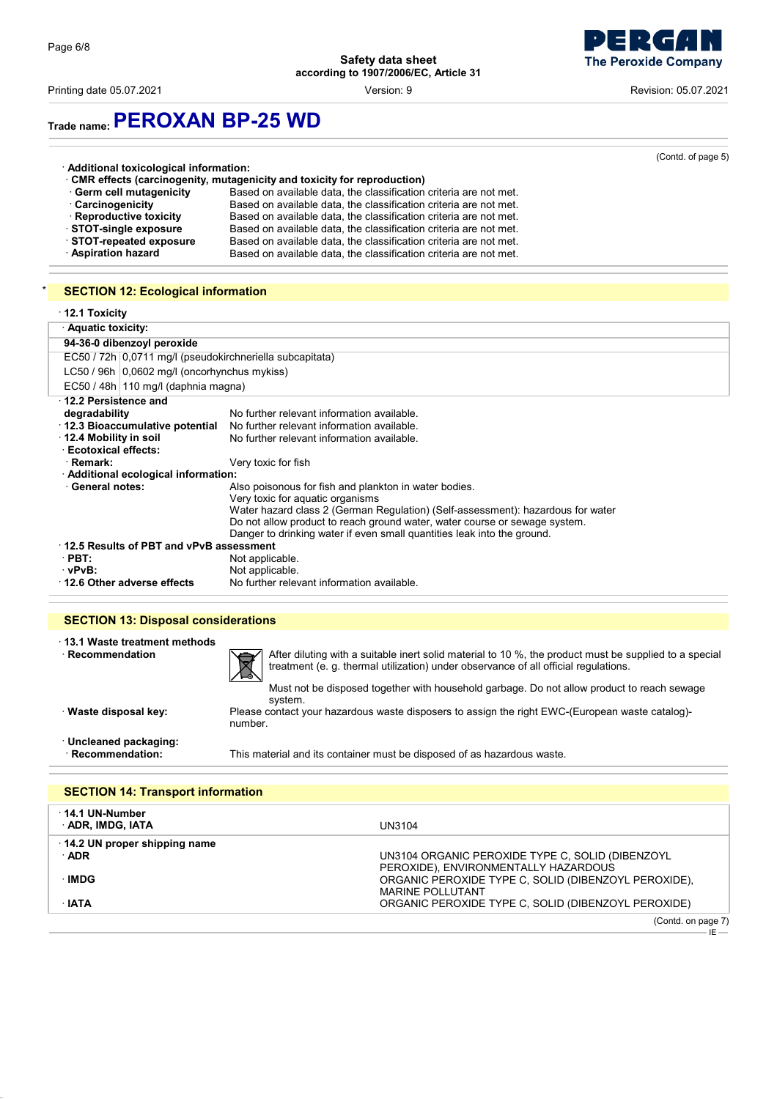

Printing date 05.07.2021 **Version: 9** Network: 05.07.2021 **Revision: 05.07.2021** 

### **Trade name:PEROXAN BP-25 WD**

|                                         |                                                                           | (Contd. of page 5) |
|-----------------------------------------|---------------------------------------------------------------------------|--------------------|
| · Additional toxicological information: | • CMR effects (carcinogenity, mutagenicity and toxicity for reproduction) |                    |
| · Germ cell mutagenicity                | Based on available data, the classification criteria are not met.         |                    |
| · Carcinogenicity                       | Based on available data, the classification criteria are not met.         |                    |
| · Reproductive toxicity                 | Based on available data, the classification criteria are not met.         |                    |
| STOT-single exposure                    | Based on available data, the classification criteria are not met.         |                    |
| STOT-repeated exposure                  | Based on available data, the classification criteria are not met.         |                    |
| · Aspiration hazard                     | Based on available data, the classification criteria are not met.         |                    |

### **SECTION 12: Ecological information**

| $\cdot$ 12.1 Toxicity                                    |                                                                                 |  |  |
|----------------------------------------------------------|---------------------------------------------------------------------------------|--|--|
| · Aquatic toxicity:                                      |                                                                                 |  |  |
| 94-36-0 dibenzoyl peroxide                               |                                                                                 |  |  |
| EC50 / 72h 0.0711 mg/l (pseudokirchneriella subcapitata) |                                                                                 |  |  |
| LC50 / 96h   0,0602 mg/l (oncorhynchus mykiss)           |                                                                                 |  |  |
| EC50 / 48h   110 mg/l (daphnia magna)                    |                                                                                 |  |  |
| 12.2 Persistence and                                     |                                                                                 |  |  |
| degradability                                            | No further relevant information available.                                      |  |  |
| 12.3 Bioaccumulative potential                           | No further relevant information available.                                      |  |  |
| $\cdot$ 12.4 Mobility in soil                            | No further relevant information available.                                      |  |  |
| · Ecotoxical effects:                                    |                                                                                 |  |  |
| · Remark:                                                | Very toxic for fish                                                             |  |  |
| Additional ecological information:                       |                                                                                 |  |  |
| · General notes:                                         | Also poisonous for fish and plankton in water bodies.                           |  |  |
|                                                          | Very toxic for aquatic organisms                                                |  |  |
|                                                          | Water hazard class 2 (German Regulation) (Self-assessment): hazardous for water |  |  |
|                                                          | Do not allow product to reach ground water, water course or sewage system.      |  |  |
|                                                          | Danger to drinking water if even small quantities leak into the ground.         |  |  |
| 12.5 Results of PBT and vPvB assessment                  |                                                                                 |  |  |
| $\cdot$ PBT:                                             | Not applicable.                                                                 |  |  |
| · vPvB:                                                  | Not applicable.                                                                 |  |  |
| 12.6 Other adverse effects                               | No further relevant information available.                                      |  |  |

### **SECTION 13: Disposal considerations**

 $\overline{\phantom{a}}$ 

| 13.1 Waste treatment methods<br>Recommendation | After diluting with a suitable inert solid material to 10 %, the product must be supplied to a special<br>凤<br>treatment (e. g. thermal utilization) under observance of all official regulations.<br>Must not be disposed together with household garbage. Do not allow product to reach sewage<br>system. |
|------------------------------------------------|-------------------------------------------------------------------------------------------------------------------------------------------------------------------------------------------------------------------------------------------------------------------------------------------------------------|
| · Waste disposal key:                          | Please contact your hazardous waste disposers to assign the right EWC-(European waste catalog)-<br>number.                                                                                                                                                                                                  |
| Uncleaned packaging:<br>· Recommendation:      | This material and its container must be disposed of as hazardous waste.                                                                                                                                                                                                                                     |

#### **SECTION 14: Transport information** · **14.1 UN-Number** · **ADR, IMDG, IATA** UN3104 · **14.2 UN proper shipping name** · **ADR** UN3104 ORGANIC PEROXIDE TYPE C, SOLID (DIBENZOYL PEROXIDE), ENVIRONMENTALLY HAZARDOUS · **IMDG** ORGANIC PEROXIDE TYPE C, SOLID (DIBENZOYL PEROXIDE), MARINE POLLUTANT · **IATA** ORGANIC PEROXIDE TYPE C, SOLID (DIBENZOYL PEROXIDE) (Contd. on page 7)  $-$  IF  $-$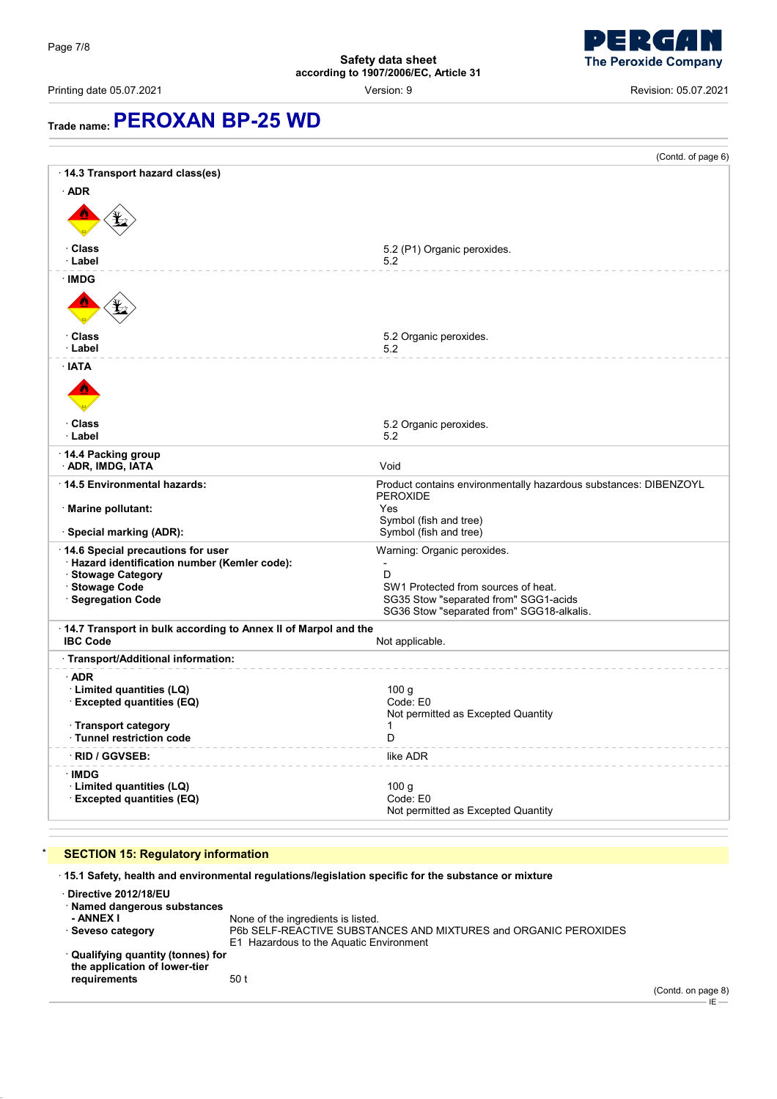

Printing date 05.07.2021 Version: 9 Revision: 05.07.2021

**Trade name:PEROXAN BP-25 WD**

(Contd. of page 6) · **14.3 Transport hazard class(es)** · **ADR** dici (the care of the care of the care of the care of the care of the care of the care of the care of the care of the care of the care of the care of the care of the care of the care of the care of the care of the care of **Class** 5.2 (P1) Organic peroxides. · **Label** 5.2 · **IMDG** dici (the care of the care of the care of the care of the care of the care of the care of the care of the care of the care of the care of the care of the care of the care of the care of the care of the care of the care of **Class** 5.2 Organic peroxides.<br> **Label** 5.2 Organic peroxides. · **Label** 5.2 · **IATA** diction of the second control of the second control of the second control of the second control of the second control of the second control of the second control of the second control of the second control of the second co **Class** 5.2 Organic peroxides.<br> **Class** 5.2 Organic peroxides. · **Label** 5.2 · **14.4 Packing group ADR, IMDG, IATA** Void · **14.5 Environmental hazards:** Product contains environmentally hazardous substances: DIBENZOYL PEROXIDE · **Marine pollutant:** Yes Symbol (fish and tree) **· Special marking (ADR):** Symbol (fish and tree) · **14.6 Special precautions for user** Warning: Organic peroxides. · **Hazard identification number (Kemler code):** - · Stowage Category<br>· Stowage Code SW1 Protected from sources of heat. · **Segregation Code** SG35 Stow "separated from" SGG1-acids SG36 Stow "separated from" SGG18-alkalis. · **14.7 Transport in bulk according to Annex II of Marpol and the Not applicable.** · **Transport/Additional information:** · **ADR** · **Limited quantities (LQ)** 100 g  $\cdot$  Excepted quantities (EQ) Not permitted as Excepted Quantity · **Transport category** 1  $\cdot$  Tunnel restriction code · **RID / GGVSEB:** like ADR · **IMDG** · **Limited quantities (LQ)** 100 g  $\cdot$  **Excepted quantities (EQ)** Not permitted as Excepted Quantity

#### **SECTION 15: Regulatory information**

· **15.1 Safety, health and environmental regulations/legislation specific for the substance or mixture**

· **Directive 2012/18/EU** · **Named dangerous substances - ANNEX I** None of the ingredients is listed.<br>
Seveso category **P6b SELF-REACTIVE SUBSTA** P6b SELF-REACTIVE SUBSTANCES AND MIXTURES and ORGANIC PEROXIDES E1 Hazardous to the Aquatic Environment · **Qualifying quantity (tonnes) for the application of lower-tier requirements** 50 t